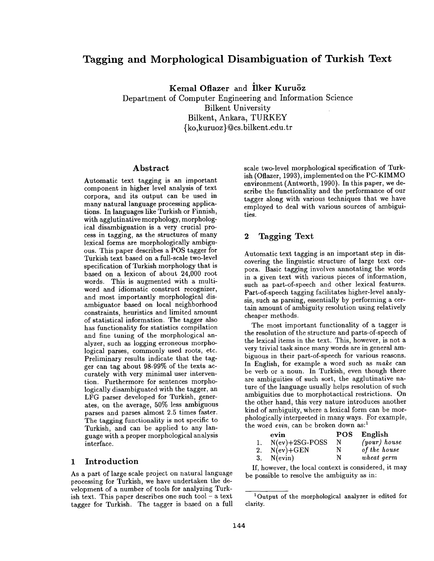# **Tagging and Morphological Disambiguation of Turkish Text**

**Kemal Oflazer and Ilker Kuruöz** 

Department of Computer Engineering and Information Science Bilkent University Bilkent, Ankara, TURKEY {ko,kuruoz}~cs.bilkent.edu.tr

### Abstract

Automatic text tagging is an important component in higher level analysis of **text**  corpora, and its output can be used in many natural language processing applications. In languages like Turkish or Finnish, with agglutinative morphology, morphological disambiguation is a very crucial process in tagging, as the structures of many lexical forms are morphologically ambiguous. This paper describes a POS tagger for Turkish text based on a full-scale two-level specification of Turkish morphology that is based on a lexicon of about 24,000 root words. This is augmented with a multiword and idiomatic construct recognizer, and most importantly morphological disambiguator based on local neighborhood constraints, heuristics and limited amount of statistical information. The tagger also has functionality for statistics compilation and fine tuning of the morphological analyzer, such as logging erroneous morphological parses, commonly used roots, etc. Preliminary results indicate that the tagger can tag about 98-99% of the texts accurately with very minimal user intervention. Furthermore for sentences morphologically disambiguated with the tagger, an LFG parser developed for Turkish, generates, on the average, 50% less ambiguous parses and parses almost 2.5 times faster. The tagging functionality is not specific to Turkish, and can be applied to any language with a proper morphological analysis interface.

### 1 Introduction

As a part of large scale project on natural language processing for Turkish, we have undertaken the development of a number of tools for analyzing Turkish text. This paper describes one such tool  $-$  a text tagger for Turkish. The tagger is based on a full scale two-level morphological specification of Turkish (Oflazer, 1993), implemented on the PC-KIMMO environment (Antworth, 1990). In this paper, we describe the functionality and the performance of our tagger along with various techniques that we have employed to deal with various sources of ambiguities.

## 2 Tagging Text

Automatic text tagging is an important step in discovering the linguistic structure of large text corpora. Basic tagging involves annotating the words in a given text with various pieces of information, such as part-of-speech and other lexical features. Part-of-speech tagging facilitates higher-level analysis, such as parsing, essentially by performing a certain amount of ambiguity resolution using relatively cheaper methods.

The most important functionality of a tagger is the resolution of the structure and parts-of-speech of the lexical items in the text. This, however, is not a very trivial task since many words are in general ambiguous in their part-of-speech for various reasons. In English, for example a word such as *make* can be verb or a noun. In Turkish, even though there are ambiguities of such sort, the agglutinative nature of the language usually helps resolution of such ambiguities due to morphotactical restrictions. On the other hand, this very nature introduces another kind of ambiguity, where a lexical form can be morphologically interpreted in many ways. For example, the word *evin*, can be broken down as:<sup>1</sup>

|    | evin             | <b>POS</b> | English        |
|----|------------------|------------|----------------|
|    | $N(ev)+2SG-POSS$ | N          | $(your)$ house |
|    | 2. $N(ev) + GEN$ | N          | of the house   |
| 3. | $N(\text{evin})$ | N          | wheat germ     |

If, however, the local context is considered, it may be possible to resolve the ambiguity as in:

<sup>1</sup> Output of the morphological analyzer is edited for clarity.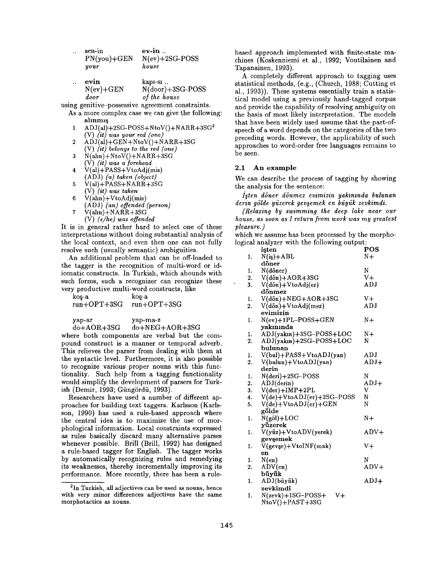| $\ddotsc$ | sen-in<br>$PN(you)+GEN$<br>your | $ev-1n$ .<br>$N(ev)+2SG-POSS$<br>house          |
|-----------|---------------------------------|-------------------------------------------------|
|           | evin<br>$N(ev)+GEN$<br>door     | $kap1-s1$ .<br>N(door)+3SG-POSS<br>of the house |

using genitive-possessive agreement constraints.

- As a more complex case we can give the following: allnml§
- $1 \quad \text{ADJ(}al\text{)}+2\text{SG-POSS}+\text{NtoV()}+\text{NARR}+3\text{SG}^2$ (V) *(it) was your red (one)*
- 2  $\text{A}\text{D}\text{J}\text{a}\text{I}$ +GEN+NtoV $\text{O}\text{+NARR}$ +3SG (V) *(it) belongs to the red (one)*
- $\hat{N}$ (alin) + NtoV() + NARR+3SG (V) *(it) was a forehead*
- $4$   $V(al) + PASS+VtoAdj(mis)$ (ADJ) *(a) taken (object)*
- $5 \text{ V(al)} + \text{PASS} + \text{NARR} + 3\text{SG}$ **(v)** *(it) was taken*
- 6  $V(\text{aln})+V \text{toAdj}(\text{mis})$ (ADJ) *(an) offended (person)*   $7$   $V(\text{aln})+NARR+3SG$ 
	- (V) *(s/he) was offended*

It is in general rather hard to select one of these interpretations without doing substantial analysis of the local context, and even then one can not fully resolve such (usually semantic) ambiguities.

An additional problem that can be off-loaded to the tagger is the recognition of multi-word or idiomatic constructs. In Turkish, which abounds with such forms, such a recognizer can recognize these very productive multi-word constructs, like

 $\log-a$  koş-a run+OPT+3SG run+OPT+3SG

yap-ar yap-ma-z

do+AOR+3SG do+NEG+AOR+3SG

where both components are verbal but the compound construct is a manner or temporal adverb. This relieves the parser from dealing with them at the syntactic level. Furthermore, it is also possible to recognize various proper nouns with this functionality. Such help from a tagging functionality would simplify the development of parsers for Turkish (Demir, 1993; Güngördü, 1993).

Researchers have used a number of different approaches for building text taggers. Karlsson (Karlsson, 1990) has used a rule-based approach where the central idea is to maximize the use of morphological information. Local constraints expressed as rules basically discard many alternative parses whenever possible. Brill (Brill, 1992) has designed a rule-based tagger for English. The tagger works by automatically recognizing rules and remedying its weaknesses, thereby incrementally improving its performance. More recently, there has been a rulebased approach implemented with finite-state machines (Koskenniemi et al., 1992; Voutilainen and Tapanainen, 1993).

A completely different approach to tagging uses statistical methods, (e.g., (Church, 1988; Cutting et al., 1993)). These systems essentially train a statistical model using a previously hand-tagged corpus and provide the capability of resolving ambiguity on the basis of most likely interpretation. The models that have been widely used assume that the part-ofspeech of a word depends on the categories of the two preceding words. However, the applicability of such approaches to word-order free languages remains to be seen.

#### **2.1 An example**

We can describe the process of tagging by showing the analysis for the sentence:

*iflen d6ner dfnmez evimizin yak~nmda bulunan*  derin gölde yüzerek gevşemek en büyük zevkimdi.

*(Relaxing by swimming the deep lake near our house, as soon as I return from work was my greatest pleasure.)* 

which we assume has been processed by the morphological analyzer with the following output:

|    |    | isten                              | POS                              |
|----|----|------------------------------------|----------------------------------|
|    | 1. | $N(iS) + ABL$                      | $N+$                             |
|    |    | döner                              |                                  |
|    | 1. | N(döner)                           | N                                |
|    | 2. | $V(d\ddot{o}n) + AOR + 3SG$        | $V +$                            |
| ٠. | 3. | V(dön)+VtoAdj(er)                  | ADJ                              |
|    |    | dönmez                             |                                  |
|    | 1. | V(dön)+NEG+AOR+3SG                 | $V +$                            |
|    | 2. | $V(d\ddot{o}n)+V$ toAdj(mez)       | $\mathbf{A}\mathbf{D}\mathbf{J}$ |
|    |    | evimizin                           |                                  |
|    | 1. | $N(ev)+1PL-POSS+GEN$               | N+                               |
|    |    | yakınında                          |                                  |
|    | 1. | ADJ(yakın)+3SG-POSS+LOC            | N+                               |
|    | 2. | ADJ(yakın)+2SG-POSS+LOC            | N                                |
|    |    | bulunan                            |                                  |
|    | 1. | $V(bul) + PASS + Vto ADJ(yan)$     | ADJ                              |
|    | 2. | V(bulun)+VtoADJ(yan)               | ADJ+                             |
|    |    | derin                              |                                  |
|    | 1. | N(deri)+2SG-POSS                   | N                                |
|    | 2. | ADJ(derin)                         | $ADJ+$                           |
|    | 3. | $V(\text{der}) + \text{IMP} + 2PL$ | V                                |
|    | 4. | $V(de)+VtoADJ(er)+2SG-POS$         | N                                |
|    | 5. | $V(de)+VtoADJ(er)+GEN$             | N                                |
|    |    | gölde                              |                                  |
|    | 1. | $N(g\ddot{o}l) + LOC$              | N+                               |
|    |    | yüzerek                            |                                  |
|    | 1. | V(yüz)+VtoADV(yerek)               | ADV+                             |
|    |    | gevşemek                           |                                  |
|    | 1. | $V(gevse)+VtoINF(mak)$             | $V +$                            |
|    |    | en                                 |                                  |
|    | 1. | N(en)                              | N                                |
|    | 2. | ADV(en)                            | $ADV+$                           |
|    |    | büyük                              |                                  |
|    | 1. | ADJ(büyük)                         | $ADJ+$                           |
|    |    | zevkimdi                           |                                  |
|    |    | $\sim$ $\sim$<br>.                 |                                  |

 $N($ zevk $)+1SG-POSS+ V+$ NtoV()+PAST+3SG

<sup>2</sup>In Turkish, all adjectives can be used as nouns, hence with very minor differences adjectives have the same morphotactics as nouns.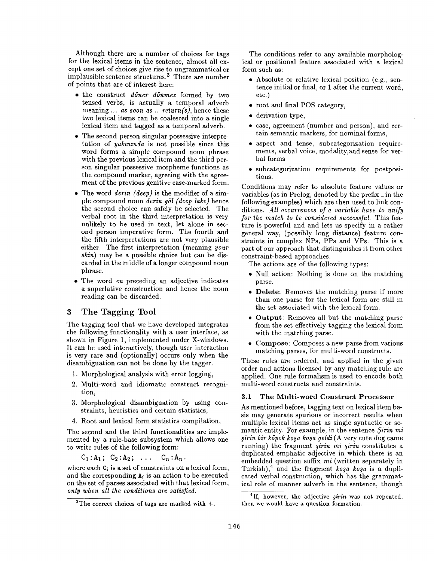Although there are a number of choices for tags for the lexical items in the sentence, almost all except one set of choices give rise to ungrammatical or implausible sentence structures. 3 There are number of points that are of interest here:

- the construct *d6ner d6nmez* formed by two tensed verbs, is actually a temporal adverb meaning ... *as soon as .. return(s),* hence these two lexical items can be coalesced into a single lexical item and tagged as a temporal adverb.
- The second person singular possessive interpretation of *yahmnda* is not possible since this word forms a simple compound noun phrase with the previous lexical item and the third person singular possessive morpheme functions as the compound marker, agreeing with the agreement of the previous genitive case-marked form.
- The word *derin (deep)* is the modifier of a simple compound noun *derin g61 (deep lake)* hence the second choice can safely be selected. The verbal root in the third interpretation is very unlikely to be used in text, let alone in second person imperative form. The fourth and the fifth interpretations are not very plausible either. The first interpretation (meaning *your skin)* may be a possible choice but can be discarded in the middle of a longer compound noun phrase.
- The word *en* preceding an adjective indicates a superlative construction and hence the noun reading can be discarded.

### **3 The Tagging Tool**

The tagging tool that we have developed integrates the following functionality with a user interface, as shown in Figure 1, implemented under X-windows. It can be used interactively, though user interaction is very rare and (optionally) occurs only when the disambiguation can not be done by the tagger.

- 1. Morphological analysis with error logging,
- 2. Multi-word and idiomatic construct recognition,
- 3. Morphological disambiguation by using constraints, heuristics and certain statistics,
- 4. Root and lexical form statistics compilation,

The second and the third functionalities are implemented by a rule-base subsystem which allows one to write rules of the following form:

 $C_1 : A_1; C_2 : A_2; \ldots; C_n : A_n$ .

where each  $C_i$  is a set of constraints on a lexical form, and the corresponding  $A_i$  is an action to be executed on the set of parses associated with that lexical form,  $only when all the conditions are satisfied.$ 

The conditions refer to any available morphological or positional feature associated with a lexical form such as:

- Absolute or relative lexical position (e.g., sentence initial or final, or 1 after the current word, etc.)
- root and final POS category,
- derivation type,
- case, agreement (number and person), and certain semantic markers, for nominal forms,
- aspect and tense, subcategorization requirements, verbal voice, modality,and sense for verbal forms
- subcategorization requirements for postpositions.

Conditions may refer to absolute feature values or variables (as in Prolog, denoted by the prefix \_ in the following examples) which are then used to link conditions. *All occurrences of a variable have to unify for the match to be considered successful.* This feature is powerful and and lets us specify in a rather general way, (possibly long distance) feature constraints in complex NPs, PPs and VPs. This is a part of our approach that distinguishes it from other constraint-based approaches.

The actions are of the following types:

- Null action: Nothing is done on the matching parse.
- Delete: Removes the matching parse if more than one parse for the lexical form are still in the set associated with the lexical form.
- Output: Removes all but the matching parse from the set effectively tagging the lexical form with the matching parse.
- Compose: Composes a new parse from various matching parses, for multi-word constructs.

These rules are ordered, and applied in the given order and actions licensed by any matching rule are applied. One rule formalism is used to encode both multi-word constructs and constraints.

#### 3.1 The Multi-word Construct Processor

As mentioned before, tagging text on lexical item basis may generate spurious or incorrect results when multiple lexical items act as single syntactic or semantic entity. For example, in the sentence *\$irin mi ~irin bir kSpek ko~a ko~a geldi* (A very cute dog came running) the fragment *şirin mi şirin* constitutes a duplicated emphatic adjective in which there is an embedded question suffix *mi* (written separately in Turkish),<sup>4</sup> and the fragment *kosa kosa* is a duplicated verbal construction, which has the grammatical role of manner adverb in the sentence, though

<sup>&</sup>lt;sup>3</sup>The correct choices of tags are marked with  $+$ .

<sup>&</sup>lt;sup>4</sup>If, however, the adjective *sirin* was not repeated, then we would have a question formation.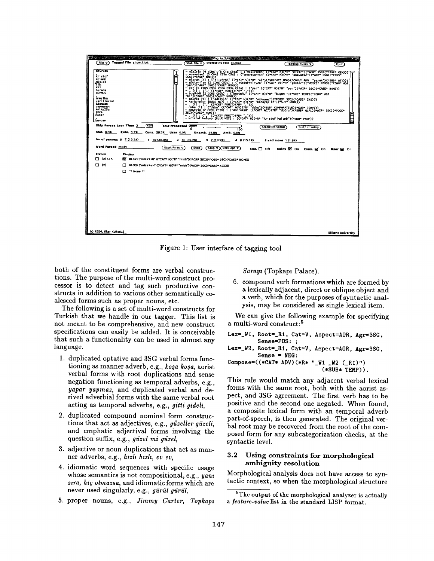

Figure 1: User interface of tagging tool

both of the constituent forms are verbal constructions. The purpose of the multi-word construct processor is to detect and tag such productive constructs in addition to various other semantically coalesced forms such as proper nouns, etc.

The following is a set of multi-word constructs for Turkish that we handle in our tagger. This list is not meant to be comprehensive, and new construct specifications can easily be added. It is conceivable that such a functionality can be used in almost any language.

- 1. duplicated optative and 3SG verbal forms functioning as manner adverb, e.g., kosa kosa, aorist verbal forms with root duplications and sense negation functioning as temporal adverbs, e.g., yapar yapmaz, and duplicated verbal and derived adverbial forms with the same verbal root acting as temporal adverbs, e.g., gitti gideli,
- 2. duplicated compound nominal form constructions that act as adjectives, e.g., güzeller güzeli, and emphatic adjectival forms involving the question suffix, e.g., güzel mi güzel,
- 3. adjective or noun duplications that act as manner adverbs, e.g., hizli hizli, ev ev.
- 4. idiomatic word sequences with specific usage whose semantics is not compositional, e.g., yant sıra, hiç olmazsa, and idiomatic forms which are never used singularly, e.g., gürül gürül,
- 5. proper nouns, e.g., Jimmy Carter, Topkapi

Sarayı (Topkapı Palace).

6. compound verb formations which are formed by a lexically adjacent, direct or oblique object and a verb, which for the purposes of syntactic analysis, may be considered as single lexical item.

We can give the following example for specifying a multi-word construct:<sup>5</sup>

```
Lex=_W1, Root=_R1, Cat=V, Aspect=AOR, Agr=3SG,
         Sense=POS: :
Lex=_W2, Root=_R1, Cat=V, Aspect=AOR, Agr=3SG,
```

```
Sense = NEG:
Compose=((*CAT* ADV)(*R* "W1 W2 (R1)")
```
 $(*SUB*$  TEMP $))$ .

This rule would match any adjacent verbal lexical forms with the same root, both with the aorist aspect, and 3SG agreement. The first verb has to be positive and the second one negated. When found, a composite lexical form with an temporal adverb part-of-speech, is then generated. The original verbal root may be recovered from the root of the composed form for any subcategorization checks, at the syntactic level.

#### $3.2$ Using constraints for morphological ambiguity resolution

Morphological analysis does not have access to syntactic context, so when the morphological structure

<sup>&</sup>lt;sup>5</sup>The output of the morphological analyzer is actually a feature-value list in the standard LISP format.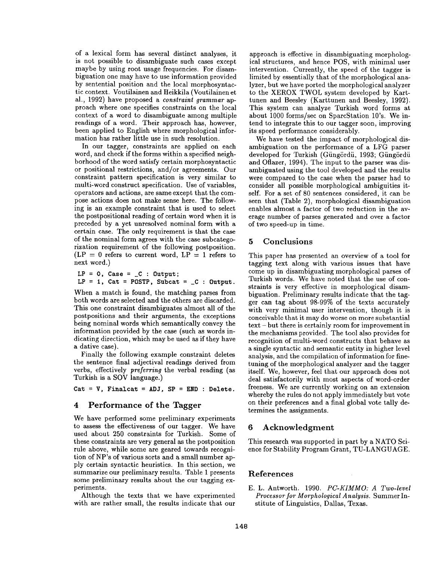of a lexical form has several distinct analyses, it is not possible to disambiguate such cases except maybe by using root usage frequencies. For disambiguation one may have to use information provided by sentential position and the local morphosyntactic context. Voutilainen and Heikkila (Voutilainen et al., 1992) have proposed a *constraint grammar* approach where one specifies constraints on the local context of a word to disambiguate among multiple readings of a word. Their approach has, however, been applied to English where morphological information has rather little use in such resolution.

In our tagger, constraints are applied on each word, and check if the forms within a specified neighborhood of the word satisfy certain morphosyntactic or positional restrictions, and/or agreements. Our constraint pattern specification is very similar to multi-word construct specification. Use of variables, operators and actions, are same except that the compose actions does not make sense here. The following is an example constraint that is used to select the postpositional reading of certain word when it is preceded by a yet unresolved nominal form with a certain case. The only requirement is that the case of the nominal form agrees with the case subcategorization requirement of the following postposition.  $(LP = 0$  refers to current word,  $LP = 1$  refers to next word.)

 $LP = 0$ , Case =  $_C$  : Output;  $LP = 1$ ,  $Cat = POSTP$ ,  $Subcat = _C : Output$ .

When a match is found, the matching parses from both words are selected and the others are discarded. This one constraint disambiguates almost all of the postpositions and their arguments, the exceptions being nominal words which semantically convey the information provided by the case (such as words indicating direction, which may be used as if they have a dative case).

Finally the following example constraint deletes the sentence final adjectival readings derived from verbs, effectively *preferring* the verbal reading (as Turkish is a SOV language.)

**Cat = V, Finalcat = ADJ, SP = END : Delete.** 

#### 4 Performance of the Tagger

We have performed some preliminary experiments to assess the effectiveness of our tagger. We have used about 250 constraints for Turkish. Some of these constraints are very general as the postposition rule above, while some are geared towards recognition of NP's of various sorts and a small number apply certain syntactic heuristics. In this section, we summarize our preliminary results. Table 1 presents some preliminary results about the our tagging experiments.

Although the texts that we have experimented with are rather small, the results indicate that our approach is effective in disambiguating morphological structures, and hence POS, with minimal user intervention. Currently, the speed of the tagger is limited by essentially that of the morphological analyzer, but we have ported the morphological analyzer to the XEROX TWOL system developed by Karttunen and Beesley (Karttunen and Beesley, 1992). This system can analyze Turkish word forms at about 1000 forms/see on SparcStation 10's. We intend to integrate this to our tagger soon, improving its speed performance considerably.

We have tested the impact of morphological disambiguation on the performance of a LFG parser developed for Turkish (Güngördü, 1993; Güngördü and Oflazer, 1994). The input to the parser was disambiguated using the tool developed and the results were compared to the case when the parser had to consider all possible morphological ambiguities itself. For a set of 80 sentences considered, it can be seen that (Table 2), morphological disambiguation enables almost a factor of two reduction in the average number of parses generated and over a factor of two speed-up in time.

### 5 Conclusions

This paper has presented an overview of a tool for tagging text along with various issues that have come up in disambiguating morphological parses of Turkish words. We have noted that the use of constraints is very effective in morphological disambiguation. Preliminary results indicate that the tagger can tag about 98-99% of the texts accurately with very minimal user intervention, though it is conceivable that it may do worse on more substantial text - but there is certainly room for improvement in the mechanisms provided. The tool also provides for recognition of multi-word constructs that behave as a single syntactic and semantic entity in higher level analysis, and the compilation of information for finetuning of the morphological analyzer and the tagger itself. We, however, feel that our approach does not deal satisfactorily with most aspects of word-order freeness. We are currently working on an extension whereby the rules do not apply immediately but vote on their preferences and a final global vote tally determines the assignments.

### **6** Acknowledgment

This research was supported in part by a NATO Science for Stability Program Grant, TU-LANGUAGE.

#### References

E. L. Antworth. 1990. *PC-KIMMO: A Two-level Processor for Morphological Analysis.* Summer Institute of Linguistics, Dallas, Texas.